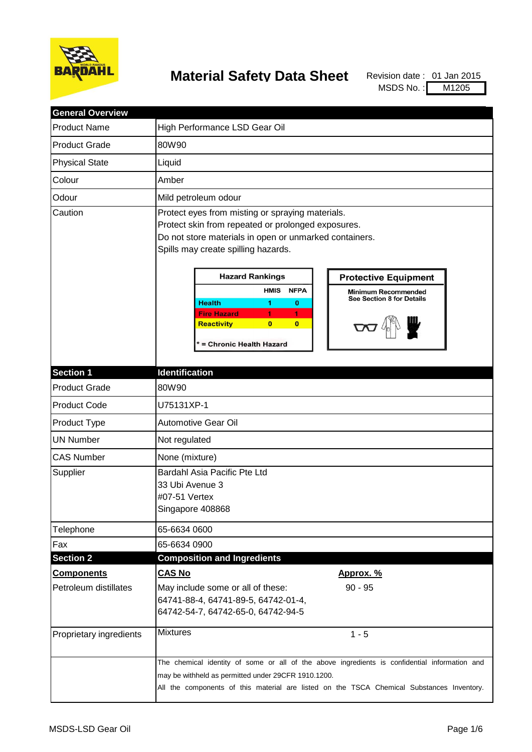

## **Material Safety Data Sheet** Revision date: 01 Jan 2015

MSDS No.: M1205

| <b>General Overview</b> |                                                                                                                                                                                                                                                                                                                                                                                                                     |                                                                                               |  |
|-------------------------|---------------------------------------------------------------------------------------------------------------------------------------------------------------------------------------------------------------------------------------------------------------------------------------------------------------------------------------------------------------------------------------------------------------------|-----------------------------------------------------------------------------------------------|--|
| <b>Product Name</b>     | High Performance LSD Gear Oil                                                                                                                                                                                                                                                                                                                                                                                       |                                                                                               |  |
| <b>Product Grade</b>    | 80W90                                                                                                                                                                                                                                                                                                                                                                                                               |                                                                                               |  |
| <b>Physical State</b>   | Liquid                                                                                                                                                                                                                                                                                                                                                                                                              |                                                                                               |  |
| Colour                  | Amber                                                                                                                                                                                                                                                                                                                                                                                                               |                                                                                               |  |
| Odour                   | Mild petroleum odour                                                                                                                                                                                                                                                                                                                                                                                                |                                                                                               |  |
| Caution                 | Protect eyes from misting or spraying materials.<br>Protect skin from repeated or prolonged exposures.<br>Do not store materials in open or unmarked containers.<br>Spills may create spilling hazards.<br><b>Hazard Rankings</b><br><b>HMIS</b><br><b>NFPA</b><br><b>Health</b><br>1.<br>$\bf{0}$<br><b>Fire Hazard</b><br>1.<br>1<br>$\overline{0}$<br>$\bf{0}$<br><b>Reactivity</b><br>* = Chronic Health Hazard | <b>Protective Equipment</b><br><b>Minimum Recommended</b><br><b>See Section 8 for Details</b> |  |
| <b>Section 1</b>        | <b>Identification</b>                                                                                                                                                                                                                                                                                                                                                                                               |                                                                                               |  |
| <b>Product Grade</b>    | 80W90                                                                                                                                                                                                                                                                                                                                                                                                               |                                                                                               |  |
| <b>Product Code</b>     | U75131XP-1                                                                                                                                                                                                                                                                                                                                                                                                          |                                                                                               |  |
| Product Type            | Automotive Gear Oil                                                                                                                                                                                                                                                                                                                                                                                                 |                                                                                               |  |
| <b>UN Number</b>        | Not regulated                                                                                                                                                                                                                                                                                                                                                                                                       |                                                                                               |  |
| <b>CAS Number</b>       | None (mixture)                                                                                                                                                                                                                                                                                                                                                                                                      |                                                                                               |  |
| Supplier                | Bardahl Asia Pacific Pte Ltd<br>33 Ubi Avenue 3<br>#07-51 Vertex<br>Singapore 408868                                                                                                                                                                                                                                                                                                                                |                                                                                               |  |
| Telephone               | 65-6634 0600                                                                                                                                                                                                                                                                                                                                                                                                        |                                                                                               |  |
| Fax                     | 65-6634 0900                                                                                                                                                                                                                                                                                                                                                                                                        |                                                                                               |  |
| <b>Section 2</b>        | <b>Composition and Ingredients</b>                                                                                                                                                                                                                                                                                                                                                                                  |                                                                                               |  |
| <b>Components</b>       | <b>CAS No</b>                                                                                                                                                                                                                                                                                                                                                                                                       | Approx. %                                                                                     |  |
| Petroleum distillates   | May include some or all of these:<br>64741-88-4, 64741-89-5, 64742-01-4,<br>64742-54-7, 64742-65-0, 64742-94-5                                                                                                                                                                                                                                                                                                      | $90 - 95$                                                                                     |  |
| Proprietary ingredients | <b>Mixtures</b>                                                                                                                                                                                                                                                                                                                                                                                                     | $1 - 5$                                                                                       |  |
|                         | The chemical identity of some or all of the above ingredients is confidential information and<br>may be withheld as permitted under 29CFR 1910.1200.<br>All the components of this material are listed on the TSCA Chemical Substances Inventory.                                                                                                                                                                   |                                                                                               |  |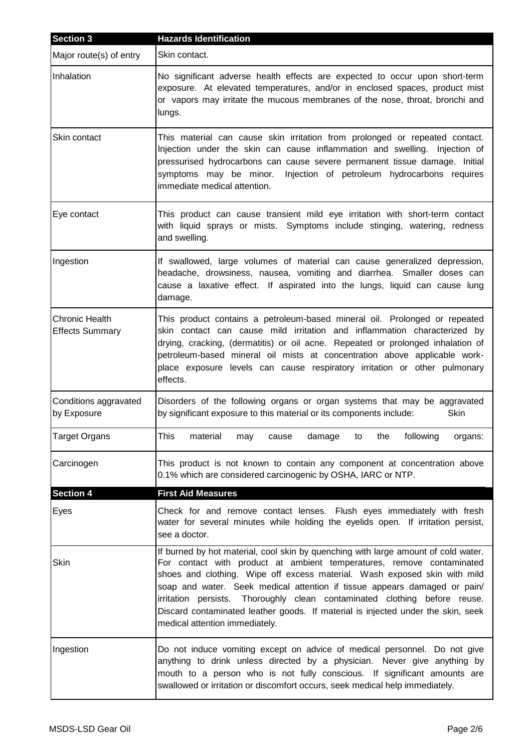| <b>Section 3</b>                         | <b>Hazards Identification</b>                                                                                                                                                                                                                                                                                                                                                                                                                                                                                            |  |
|------------------------------------------|--------------------------------------------------------------------------------------------------------------------------------------------------------------------------------------------------------------------------------------------------------------------------------------------------------------------------------------------------------------------------------------------------------------------------------------------------------------------------------------------------------------------------|--|
| Major route(s) of entry                  | Skin contact.                                                                                                                                                                                                                                                                                                                                                                                                                                                                                                            |  |
| Inhalation                               | No significant adverse health effects are expected to occur upon short-term<br>exposure. At elevated temperatures, and/or in enclosed spaces, product mist<br>or vapors may irritate the mucous membranes of the nose, throat, bronchi and<br>lungs.                                                                                                                                                                                                                                                                     |  |
| Skin contact                             | This material can cause skin irritation from prolonged or repeated contact.<br>Injection under the skin can cause inflammation and swelling. Injection of<br>pressurised hydrocarbons can cause severe permanent tissue damage. Initial<br>symptoms may be minor. Injection of petroleum hydrocarbons requires<br>immediate medical attention.                                                                                                                                                                           |  |
| Eye contact                              | This product can cause transient mild eye irritation with short-term contact<br>with liquid sprays or mists. Symptoms include stinging, watering, redness<br>and swelling.                                                                                                                                                                                                                                                                                                                                               |  |
| Ingestion                                | If swallowed, large volumes of material can cause generalized depression,<br>headache, drowsiness, nausea, vomiting and diarrhea. Smaller doses can<br>cause a laxative effect. If aspirated into the lungs, liquid can cause lung<br>damage.                                                                                                                                                                                                                                                                            |  |
| Chronic Health<br><b>Effects Summary</b> | This product contains a petroleum-based mineral oil. Prolonged or repeated<br>skin contact can cause mild irritation and inflammation characterized by<br>drying, cracking, (dermatitis) or oil acne. Repeated or prolonged inhalation of<br>petroleum-based mineral oil mists at concentration above applicable work-<br>place exposure levels can cause respiratory irritation or other pulmonary<br>effects.                                                                                                          |  |
| Conditions aggravated<br>by Exposure     | Disorders of the following organs or organ systems that may be aggravated<br>by significant exposure to this material or its components include:<br>Skin                                                                                                                                                                                                                                                                                                                                                                 |  |
| Target Organs                            | This<br>material<br>following<br>may<br>cause<br>damage<br>to<br>the<br>organs:                                                                                                                                                                                                                                                                                                                                                                                                                                          |  |
| Carcinogen                               | This product is not known to contain any component at concentration above<br>0.1% which are considered carcinogenic by OSHA, IARC or NTP.                                                                                                                                                                                                                                                                                                                                                                                |  |
| <b>Section 4</b>                         | <b>First Aid Measures</b>                                                                                                                                                                                                                                                                                                                                                                                                                                                                                                |  |
| Eyes                                     | Check for and remove contact lenses. Flush eyes immediately with fresh<br>water for several minutes while holding the eyelids open. If irritation persist,<br>see a doctor.                                                                                                                                                                                                                                                                                                                                              |  |
| Skin                                     | If burned by hot material, cool skin by quenching with large amount of cold water.<br>For contact with product at ambient temperatures, remove contaminated<br>shoes and clothing. Wipe off excess material. Wash exposed skin with mild<br>soap and water. Seek medical attention if tissue appears damaged or pain/<br>irritation persists. Thoroughly clean contaminated clothing before reuse.<br>Discard contaminated leather goods. If material is injected under the skin, seek<br>medical attention immediately. |  |
| Ingestion                                | Do not induce vomiting except on advice of medical personnel. Do not give<br>anything to drink unless directed by a physician. Never give anything by<br>mouth to a person who is not fully conscious. If significant amounts are<br>swallowed or irritation or discomfort occurs, seek medical help immediately.                                                                                                                                                                                                        |  |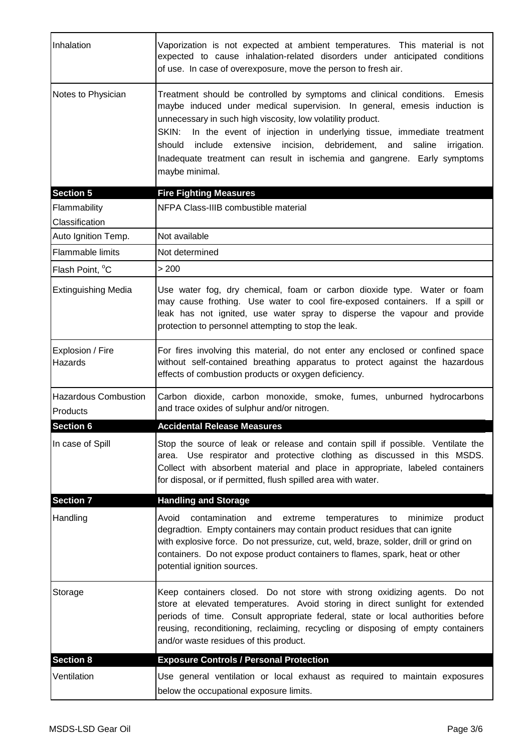| Inhalation                              | Vaporization is not expected at ambient temperatures. This material is not<br>expected to cause inhalation-related disorders under anticipated conditions<br>of use. In case of overexposure, move the person to fresh air.                                                                                                                                                                                                                                                            |
|-----------------------------------------|----------------------------------------------------------------------------------------------------------------------------------------------------------------------------------------------------------------------------------------------------------------------------------------------------------------------------------------------------------------------------------------------------------------------------------------------------------------------------------------|
| Notes to Physician                      | Treatment should be controlled by symptoms and clinical conditions.<br>Emesis<br>maybe induced under medical supervision. In general, emesis induction is<br>unnecessary in such high viscosity, low volatility product.<br>In the event of injection in underlying tissue, immediate treatment<br>SKIN:<br>include extensive incision, debridement, and saline<br>should<br>irrigation.<br>Inadequate treatment can result in ischemia and gangrene. Early symptoms<br>maybe minimal. |
| <b>Section 5</b>                        | <b>Fire Fighting Measures</b>                                                                                                                                                                                                                                                                                                                                                                                                                                                          |
| Flammability                            | NFPA Class-IIIB combustible material                                                                                                                                                                                                                                                                                                                                                                                                                                                   |
| Classification                          |                                                                                                                                                                                                                                                                                                                                                                                                                                                                                        |
| Auto Ignition Temp.                     | Not available                                                                                                                                                                                                                                                                                                                                                                                                                                                                          |
| <b>Flammable limits</b>                 | Not determined                                                                                                                                                                                                                                                                                                                                                                                                                                                                         |
| Flash Point, °C                         | > 200                                                                                                                                                                                                                                                                                                                                                                                                                                                                                  |
| <b>Extinguishing Media</b>              | Use water fog, dry chemical, foam or carbon dioxide type. Water or foam<br>may cause frothing. Use water to cool fire-exposed containers. If a spill or<br>leak has not ignited, use water spray to disperse the vapour and provide<br>protection to personnel attempting to stop the leak.                                                                                                                                                                                            |
| Explosion / Fire<br>Hazards             | For fires involving this material, do not enter any enclosed or confined space<br>without self-contained breathing apparatus to protect against the hazardous<br>effects of combustion products or oxygen deficiency.                                                                                                                                                                                                                                                                  |
| <b>Hazardous Combustion</b><br>Products | Carbon dioxide, carbon monoxide, smoke, fumes, unburned hydrocarbons<br>and trace oxides of sulphur and/or nitrogen.                                                                                                                                                                                                                                                                                                                                                                   |
| <b>Section 6</b>                        | <b>Accidental Release Measures</b>                                                                                                                                                                                                                                                                                                                                                                                                                                                     |
| In case of Spill                        | Stop the source of leak or release and contain spill if possible. Ventilate the<br>area. Use respirator and protective clothing as discussed in this MSDS.<br>Collect with absorbent material and place in appropriate, labeled containers<br>for disposal, or if permitted, flush spilled area with water.                                                                                                                                                                            |
| <b>Section 7</b>                        | <b>Handling and Storage</b>                                                                                                                                                                                                                                                                                                                                                                                                                                                            |
| Handling                                | Avoid<br>contamination<br>and<br>extreme<br>temperatures<br>minimize<br>product<br>to<br>degradtion. Empty containers may contain product residues that can ignite<br>with explosive force. Do not pressurize, cut, weld, braze, solder, drill or grind on<br>containers. Do not expose product containers to flames, spark, heat or other<br>potential ignition sources.                                                                                                              |
| Storage                                 | Keep containers closed. Do not store with strong oxidizing agents. Do not<br>store at elevated temperatures. Avoid storing in direct sunlight for extended<br>periods of time. Consult appropriate federal, state or local authorities before<br>reusing, reconditioning, reclaiming, recycling or disposing of empty containers<br>and/or waste residues of this product.                                                                                                             |
| <b>Section 8</b>                        | <b>Exposure Controls / Personal Protection</b>                                                                                                                                                                                                                                                                                                                                                                                                                                         |
| Ventilation                             | Use general ventilation or local exhaust as required to maintain exposures<br>below the occupational exposure limits.                                                                                                                                                                                                                                                                                                                                                                  |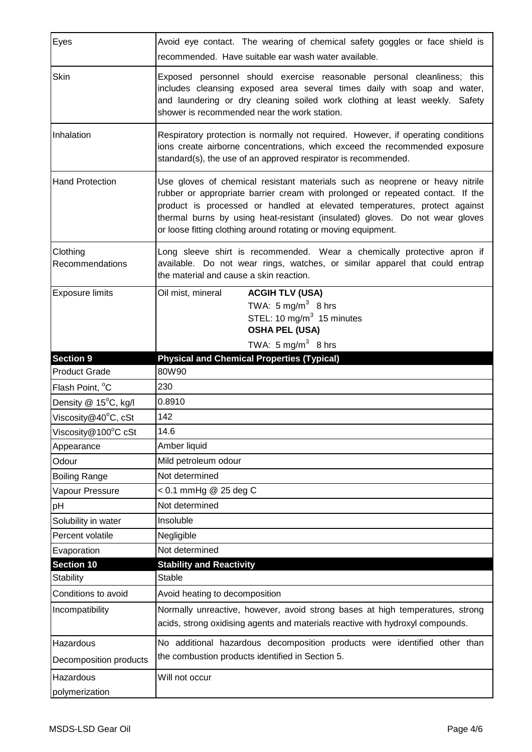| Eyes                              | Avoid eye contact. The wearing of chemical safety goggles or face shield is<br>recommended. Have suitable ear wash water available.                                                                                                                                                                                                                                                           |  |
|-----------------------------------|-----------------------------------------------------------------------------------------------------------------------------------------------------------------------------------------------------------------------------------------------------------------------------------------------------------------------------------------------------------------------------------------------|--|
| Skin                              | Exposed personnel should exercise reasonable personal cleanliness; this<br>includes cleansing exposed area several times daily with soap and water,<br>and laundering or dry cleaning soiled work clothing at least weekly. Safety<br>shower is recommended near the work station.                                                                                                            |  |
| Inhalation                        | Respiratory protection is normally not required. However, if operating conditions<br>ions create airborne concentrations, which exceed the recommended exposure<br>standard(s), the use of an approved respirator is recommended.                                                                                                                                                             |  |
| <b>Hand Protection</b>            | Use gloves of chemical resistant materials such as neoprene or heavy nitrile<br>rubber or appropriate barrier cream with prolonged or repeated contact. If the<br>product is processed or handled at elevated temperatures, protect against<br>thermal burns by using heat-resistant (insulated) gloves. Do not wear gloves<br>or loose fitting clothing around rotating or moving equipment. |  |
| Clothing<br>Recommendations       | Long sleeve shirt is recommended. Wear a chemically protective apron if<br>available. Do not wear rings, watches, or similar apparel that could entrap<br>the material and cause a skin reaction.                                                                                                                                                                                             |  |
| <b>Exposure limits</b>            | Oil mist, mineral<br><b>ACGIH TLV (USA)</b><br>TWA: $5 \text{ mg/m}^3$ 8 hrs<br>STEL: 10 mg/m <sup>3</sup> 15 minutes<br><b>OSHA PEL (USA)</b><br>TWA: $5 \text{ mg/m}^3$ 8 hrs                                                                                                                                                                                                               |  |
| <b>Section 9</b>                  | <b>Physical and Chemical Properties (Typical)</b>                                                                                                                                                                                                                                                                                                                                             |  |
|                                   |                                                                                                                                                                                                                                                                                                                                                                                               |  |
| <b>Product Grade</b>              | 80W90                                                                                                                                                                                                                                                                                                                                                                                         |  |
| Flash Point, °C                   | 230                                                                                                                                                                                                                                                                                                                                                                                           |  |
| Density @ 15°C, kg/l              | 0.8910                                                                                                                                                                                                                                                                                                                                                                                        |  |
| Viscosity@40°C, cSt               | 142                                                                                                                                                                                                                                                                                                                                                                                           |  |
|                                   | 14.6                                                                                                                                                                                                                                                                                                                                                                                          |  |
| Viscosity@100°C cSt<br>Appearance | Amber liquid                                                                                                                                                                                                                                                                                                                                                                                  |  |
| Odour                             | Mild petroleum odour                                                                                                                                                                                                                                                                                                                                                                          |  |
| <b>Boiling Range</b>              | Not determined                                                                                                                                                                                                                                                                                                                                                                                |  |
| Vapour Pressure                   | < 0.1 mmHg @ 25 deg C                                                                                                                                                                                                                                                                                                                                                                         |  |
| pH                                | Not determined                                                                                                                                                                                                                                                                                                                                                                                |  |
| Solubility in water               | Insoluble                                                                                                                                                                                                                                                                                                                                                                                     |  |
| Percent volatile                  | Negligible                                                                                                                                                                                                                                                                                                                                                                                    |  |
| Evaporation                       | Not determined                                                                                                                                                                                                                                                                                                                                                                                |  |
| <b>Section 10</b>                 | <b>Stability and Reactivity</b>                                                                                                                                                                                                                                                                                                                                                               |  |
| <b>Stability</b>                  | Stable                                                                                                                                                                                                                                                                                                                                                                                        |  |
| Conditions to avoid               | Avoid heating to decomposition                                                                                                                                                                                                                                                                                                                                                                |  |
| Incompatibility                   | Normally unreactive, however, avoid strong bases at high temperatures, strong<br>acids, strong oxidising agents and materials reactive with hydroxyl compounds.                                                                                                                                                                                                                               |  |
| Hazardous                         | No additional hazardous decomposition products were identified other than                                                                                                                                                                                                                                                                                                                     |  |
| Decomposition products            | the combustion products identified in Section 5.                                                                                                                                                                                                                                                                                                                                              |  |
| Hazardous                         | Will not occur                                                                                                                                                                                                                                                                                                                                                                                |  |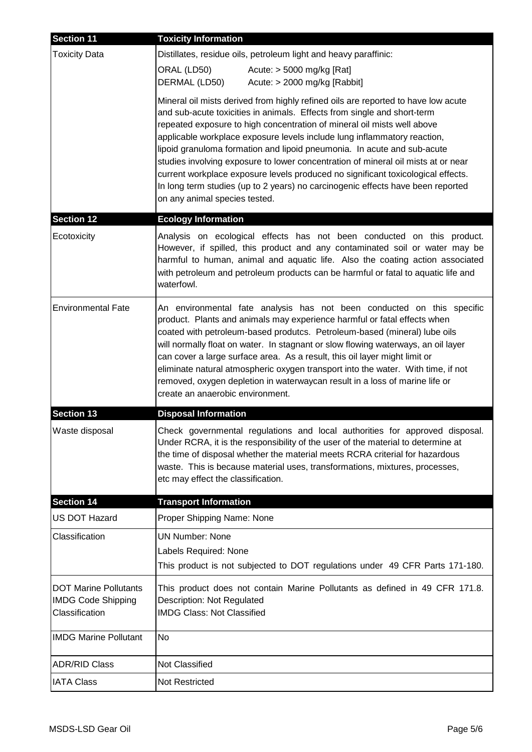| <b>Section 11</b>                                                           | <b>Toxicity Information</b>                                                                                                                                                                                                                                                                                                                                                                                                                                                                                                                                                                                                                                                                 |
|-----------------------------------------------------------------------------|---------------------------------------------------------------------------------------------------------------------------------------------------------------------------------------------------------------------------------------------------------------------------------------------------------------------------------------------------------------------------------------------------------------------------------------------------------------------------------------------------------------------------------------------------------------------------------------------------------------------------------------------------------------------------------------------|
| <b>Toxicity Data</b>                                                        | Distillates, residue oils, petroleum light and heavy paraffinic:<br>ORAL (LD50)<br>Acute: $>$ 5000 mg/kg [Rat]<br>DERMAL (LD50)<br>Acute: $>$ 2000 mg/kg [Rabbit]                                                                                                                                                                                                                                                                                                                                                                                                                                                                                                                           |
|                                                                             | Mineral oil mists derived from highly refined oils are reported to have low acute<br>and sub-acute toxicities in animals. Effects from single and short-term<br>repeated exposure to high concentration of mineral oil mists well above<br>applicable workplace exposure levels include lung inflammatory reaction,<br>lipoid granuloma formation and lipoid pneumonia. In acute and sub-acute<br>studies involving exposure to lower concentration of mineral oil mists at or near<br>current workplace exposure levels produced no significant toxicological effects.<br>In long term studies (up to 2 years) no carcinogenic effects have been reported<br>on any animal species tested. |
| Section 12                                                                  | <b>Ecology Information</b>                                                                                                                                                                                                                                                                                                                                                                                                                                                                                                                                                                                                                                                                  |
| Ecotoxicity                                                                 | Analysis on ecological effects has not been conducted on this product.<br>However, if spilled, this product and any contaminated soil or water may be<br>harmful to human, animal and aquatic life. Also the coating action associated<br>with petroleum and petroleum products can be harmful or fatal to aquatic life and<br>waterfowl.                                                                                                                                                                                                                                                                                                                                                   |
| <b>Environmental Fate</b>                                                   | An environmental fate analysis has not been conducted on this specific<br>product. Plants and animals may experience harmful or fatal effects when<br>coated with petroleum-based produtcs. Petroleum-based (mineral) lube oils<br>will normally float on water. In stagnant or slow flowing waterways, an oil layer<br>can cover a large surface area. As a result, this oil layer might limit or<br>eliminate natural atmospheric oxygen transport into the water. With time, if not<br>removed, oxygen depletion in waterwaycan result in a loss of marine life or<br>create an anaerobic environment.                                                                                   |
| <b>Section 13</b>                                                           | <b>Disposal Information</b>                                                                                                                                                                                                                                                                                                                                                                                                                                                                                                                                                                                                                                                                 |
| Waste disposal                                                              | Check governmental regulations and local authorities for approved disposal.<br>Under RCRA, it is the responsibility of the user of the material to determine at<br>the time of disposal whether the material meets RCRA criterial for hazardous<br>waste. This is because material uses, transformations, mixtures, processes,<br>etc may effect the classification.                                                                                                                                                                                                                                                                                                                        |
| <b>Section 14</b>                                                           | <b>Transport Information</b>                                                                                                                                                                                                                                                                                                                                                                                                                                                                                                                                                                                                                                                                |
| <b>US DOT Hazard</b>                                                        | Proper Shipping Name: None                                                                                                                                                                                                                                                                                                                                                                                                                                                                                                                                                                                                                                                                  |
| Classification                                                              | <b>UN Number: None</b><br>Labels Required: None<br>This product is not subjected to DOT regulations under 49 CFR Parts 171-180.                                                                                                                                                                                                                                                                                                                                                                                                                                                                                                                                                             |
| <b>DOT Marine Pollutants</b><br><b>IMDG Code Shipping</b><br>Classification | This product does not contain Marine Pollutants as defined in 49 CFR 171.8.<br>Description: Not Regulated<br><b>IMDG Class: Not Classified</b>                                                                                                                                                                                                                                                                                                                                                                                                                                                                                                                                              |
| <b>IMDG Marine Pollutant</b>                                                | No                                                                                                                                                                                                                                                                                                                                                                                                                                                                                                                                                                                                                                                                                          |
| <b>ADR/RID Class</b>                                                        | Not Classified                                                                                                                                                                                                                                                                                                                                                                                                                                                                                                                                                                                                                                                                              |
| <b>IATA Class</b>                                                           | <b>Not Restricted</b>                                                                                                                                                                                                                                                                                                                                                                                                                                                                                                                                                                                                                                                                       |